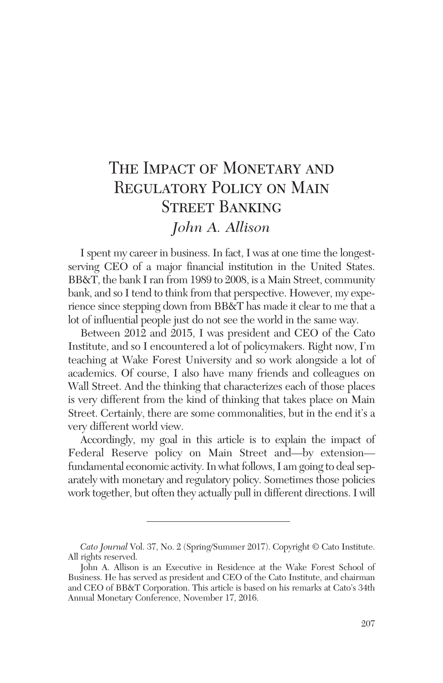# THE IMPACT OF MONETARY AND REGULATORY POLICY ON MAIN Street Banking *John A. Allison*

I spent my career in business. In fact, I was at one time the longestserving CEO of a major financial institution in the United States. BB&T, the bank I ran from 1989 to 2008, is a Main Street, community bank, and so I tend to think from that perspective. However, my experience since stepping down from BB&T has made it clear to me that a lot of influential people just do not see the world in the same way.

Between 2012 and 2015, I was president and CEO of the Cato Institute, and so I encountered a lot of policymakers. Right now, I'm teaching at Wake Forest University and so work alongside a lot of academics. Of course, I also have many friends and colleagues on Wall Street. And the thinking that characterizes each of those places is very different from the kind of thinking that takes place on Main Street. Certainly, there are some commonalities, but in the end it's a very different world view.

Accordingly, my goal in this article is to explain the impact of Federal Reserve policy on Main Street and—by extension fundamental economic activity. In what follows, I am going to deal separately with monetary and regulatory policy. Sometimes those policies work together, but often they actually pull in different directions.I will

*Cato Journal* Vol. 37, No. 2 (Spring/Summer 2017). Copyright © Cato Institute. All rights reserved.

John A. Allison is an Executive in Residence at the Wake Forest School of Business. He has served as president and CEO of the Cato Institute, and chairman and CEO of BB&T Corporation. This article is based on his remarks at Cato's 34th Annual Monetary Conference, November 17, 2016.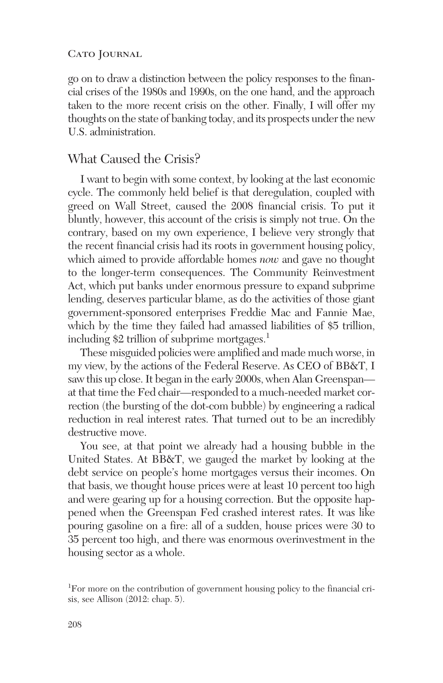#### CATO JOURNAL

go on to draw a distinction between the policy responses to the financial crises of the 1980s and 1990s, on the one hand, and the approach taken to the more recent crisis on the other. Finally, I will offer my thoughts on the state of banking today, and its prospects under the new U.S. administration.

# What Caused the Crisis?

I want to begin with some context, by looking at the last economic cycle. The commonly held belief is that deregulation, coupled with greed on Wall Street, caused the 2008 financial crisis. To put it bluntly, however, this account of the crisis is simply not true. On the contrary, based on my own experience, I believe very strongly that the recent financial crisis had its roots in government housing policy, which aimed to provide affordable homes *now* and gave no thought to the longer-term consequences. The Community Reinvestment Act, which put banks under enormous pressure to expand subprime lending, deserves particular blame, as do the activities of those giant government-sponsored enterprises Freddie Mac and Fannie Mae, which by the time they failed had amassed liabilities of \$5 trillion, including \$2 trillion of subprime mortgages.<sup>1</sup>

These misguided policies were amplified and made much worse, in my view, by the actions of the Federal Reserve. As CEO of BB&T, I saw this up close. It began in the early 2000s, when Alan Greenspan at that time the Fed chair—responded to a much-needed market correction (the bursting of the dot-com bubble) by engineering a radical reduction in real interest rates. That turned out to be an incredibly destructive move.

You see, at that point we already had a housing bubble in the United States. At BB&T, we gauged the market by looking at the debt service on people's home mortgages versus their incomes. On that basis, we thought house prices were at least 10 percent too high and were gearing up for a housing correction. But the opposite happened when the Greenspan Fed crashed interest rates. It was like pouring gasoline on a fire: all of a sudden, house prices were 30 to 35 percent too high, and there was enormous overinvestment in the housing sector as a whole.

<sup>&</sup>lt;sup>1</sup>For more on the contribution of government housing policy to the financial crisis, see Allison (2012: chap. 5).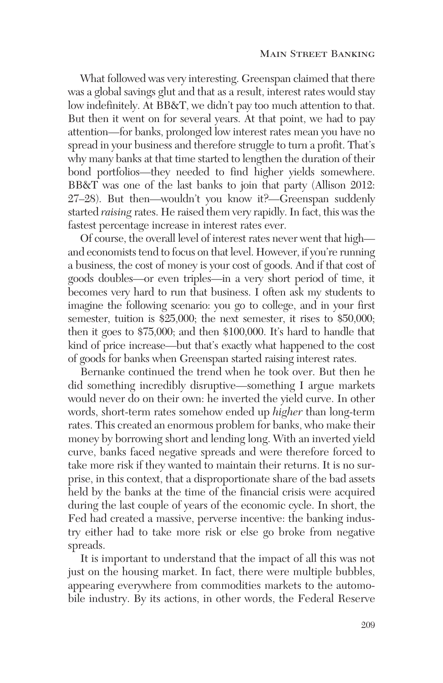What followed was very interesting. Greenspan claimed that there was a global savings glut and that as a result, interest rates would stay low indefinitely. At BB&T, we didn't pay too much attention to that. But then it went on for several years. At that point, we had to pay attention—for banks, prolonged low interest rates mean you have no spread in your business and therefore struggle to turn a profit. That's why many banks at that time started to lengthen the duration of their bond portfolios—they needed to find higher yields somewhere. BB&T was one of the last banks to join that party (Allison 2012: 27–28). But then—wouldn't you know it?—Greenspan suddenly started *raising* rates. He raised them very rapidly. In fact, this was the fastest percentage increase in interest rates ever.

Of course, the overall level of interest rates never went that high and economists tend to focus on that level. However, if you're running a business, the cost of money is your cost of goods. And if that cost of goods doubles—or even triples—in a very short period of time, it becomes very hard to run that business. I often ask my students to imagine the following scenario: you go to college, and in your first semester, tuition is \$25,000; the next semester, it rises to \$50,000; then it goes to \$75,000; and then \$100,000. It's hard to handle that kind of price increase—but that's exactly what happened to the cost of goods for banks when Greenspan started raising interest rates.

Bernanke continued the trend when he took over. But then he did something incredibly disruptive—something I argue markets would never do on their own: he inverted the yield curve. In other words, short-term rates somehow ended up *higher* than long-term rates. This created an enormous problem for banks, who make their money by borrowing short and lending long. With an inverted yield curve, banks faced negative spreads and were therefore forced to take more risk if they wanted to maintain their returns. It is no surprise, in this context, that a disproportionate share of the bad assets held by the banks at the time of the financial crisis were acquired during the last couple of years of the economic cycle. In short, the Fed had created a massive, perverse incentive: the banking industry either had to take more risk or else go broke from negative spreads.

It is important to understand that the impact of all this was not just on the housing market. In fact, there were multiple bubbles, appearing everywhere from commodities markets to the automobile industry. By its actions, in other words, the Federal Reserve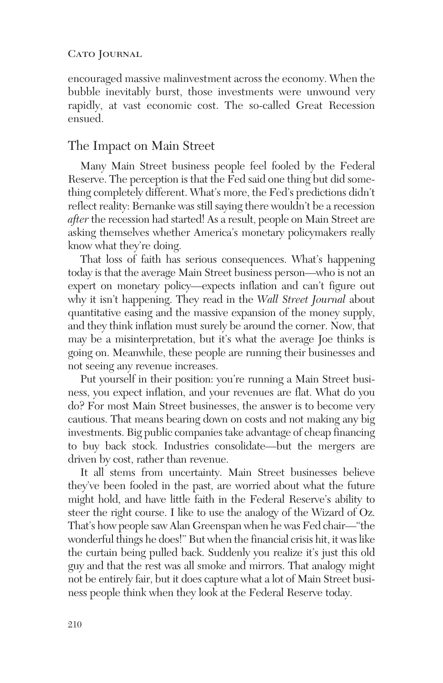#### CATO JOURNAL

encouraged massive malinvestment across the economy. When the bubble inevitably burst, those investments were unwound very rapidly, at vast economic cost. The so-called Great Recession ensued.

### The Impact on Main Street

Many Main Street business people feel fooled by the Federal Reserve. The perception is that the Fed said one thing but did something completely different. What's more, the Fed's predictions didn't reflect reality: Bernanke was still saying there wouldn't be a recession *after* the recession had started! As a result, people on Main Street are asking themselves whether America's monetary policymakers really know what they're doing.

That loss of faith has serious consequences. What's happening today is that the average Main Street business person—who is not an expert on monetary policy—expects inflation and can't figure out why it isn't happening. They read in the *Wall Street Journal* about quantitative easing and the massive expansion of the money supply, and they think inflation must surely be around the corner. Now, that may be a misinterpretation, but it's what the average Joe thinks is going on. Meanwhile, these people are running their businesses and not seeing any revenue increases.

Put yourself in their position: you're running a Main Street business, you expect inflation, and your revenues are flat. What do you do? For most Main Street businesses, the answer is to become very cautious. That means bearing down on costs and not making any big investments. Big public companies take advantage of cheap financing to buy back stock. Industries consolidate—but the mergers are driven by cost, rather than revenue.

It all stems from uncertainty. Main Street businesses believe they've been fooled in the past, are worried about what the future might hold, and have little faith in the Federal Reserve's ability to steer the right course. I like to use the analogy of the Wizard of Oz. That's how people saw Alan Greenspan when he was Fed chair—"the wonderful things he does!" But when the financial crisis hit, it was like the curtain being pulled back. Suddenly you realize it's just this old guy and that the rest was all smoke and mirrors. That analogy might not be entirely fair, but it does capture what a lot of Main Street business people think when they look at the Federal Reserve today.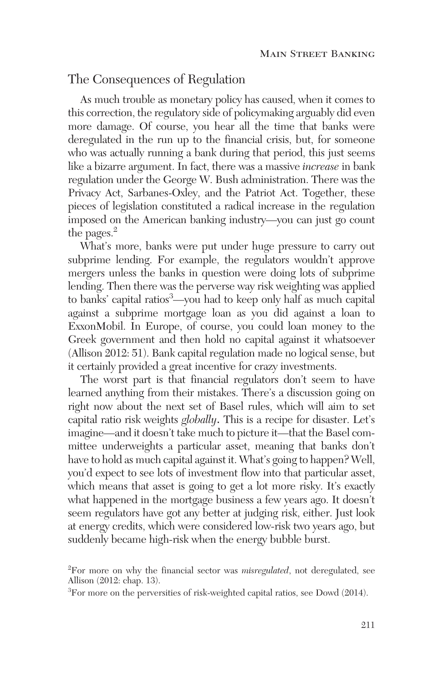# The Consequences of Regulation

As much trouble as monetary policy has caused, when it comes to this correction, the regulatory side of policymaking arguably did even more damage. Of course, you hear all the time that banks were deregulated in the run up to the financial crisis, but, for someone who was actually running a bank during that period, this just seems like a bizarre argument. In fact, there was a massive *increase* in bank regulation under the George W. Bush administration. There was the Privacy Act, Sarbanes-Oxley, and the Patriot Act. Together, these pieces of legislation constituted a radical increase in the regulation imposed on the American banking industry—you can just go count the pages.<sup>2</sup>

What's more, banks were put under huge pressure to carry out subprime lending. For example, the regulators wouldn't approve mergers unless the banks in question were doing lots of subprime lending. Then there was the perverse way risk weighting was applied to banks' capital ratios3 —you had to keep only half as much capital against a subprime mortgage loan as you did against a loan to ExxonMobil. In Europe, of course, you could loan money to the Greek government and then hold no capital against it whatsoever (Allison 2012: 51). Bank capital regulation made no logical sense, but it certainly provided a great incentive for crazy investments.

The worst part is that financial regulators don't seem to have learned anything from their mistakes. There's a discussion going on right now about the next set of Basel rules, which will aim to set capital ratio risk weights *globally*. This is a recipe for disaster. Let's imagine—and it doesn't take much to picture it—that the Basel committee underweights a particular asset, meaning that banks don't have to hold as much capital against it. What's going to happen? Well, you'd expect to see lots of investment flow into that particular asset, which means that asset is going to get a lot more risky. It's exactly what happened in the mortgage business a few years ago. It doesn't seem regulators have got any better at judging risk, either. Just look at energy credits, which were considered low-risk two years ago, but suddenly became high-risk when the energy bubble burst.

<sup>2</sup> For more on why the financial sector was *misregulated*, not deregulated, see Allison (2012: chap. 13).

<sup>&</sup>lt;sup>3</sup>For more on the perversities of risk-weighted capital ratios, see Dowd (2014).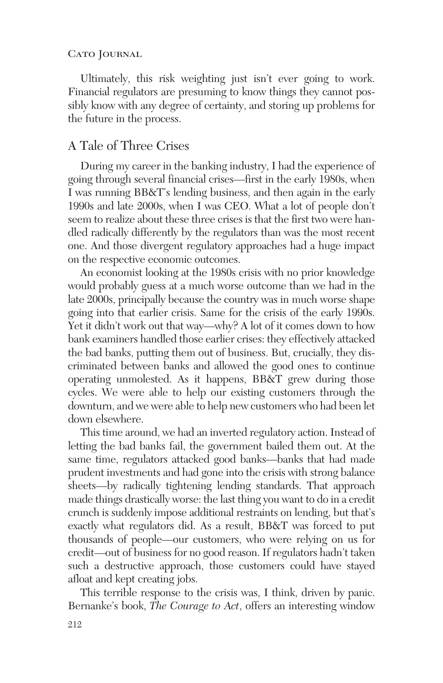#### CATO JOURNAL

Ultimately, this risk weighting just isn't ever going to work. Financial regulators are presuming to know things they cannot possibly know with any degree of certainty, and storing up problems for the future in the process.

# A Tale of Three Crises

During my career in the banking industry, I had the experience of going through several financial crises—first in the early 1980s, when I was running BB&T's lending business, and then again in the early 1990s and late 2000s, when I was CEO. What a lot of people don't seem to realize about these three crises is that the first two were handled radically differently by the regulators than was the most recent one. And those divergent regulatory approaches had a huge impact on the respective economic outcomes.

An economist looking at the 1980s crisis with no prior knowledge would probably guess at a much worse outcome than we had in the late 2000s, principally because the country was in much worse shape going into that earlier crisis. Same for the crisis of the early 1990s. Yet it didn't work out that way—why? A lot of it comes down to how bank examiners handled those earlier crises: they effectively attacked the bad banks, putting them out of business. But, crucially, they discriminated between banks and allowed the good ones to continue operating unmolested. As it happens, BB&T grew during those cycles. We were able to help our existing customers through the downturn, and we were able to help new customers who had been let down elsewhere.

This time around, we had an inverted regulatory action. Instead of letting the bad banks fail, the government bailed them out. At the same time, regulators attacked good banks—banks that had made prudent investments and had gone into the crisis with strong balance sheets—by radically tightening lending standards. That approach made things drastically worse: the last thing you want to do in a credit crunch is suddenly impose additional restraints on lending, but that's exactly what regulators did. As a result, BB&T was forced to put thousands of people—our customers, who were relying on us for credit—out of business for no good reason. If regulators hadn't taken such a destructive approach, those customers could have stayed afloat and kept creating jobs.

This terrible response to the crisis was, I think, driven by panic. Bernanke's book, *The Courage to Act*, offers an interesting window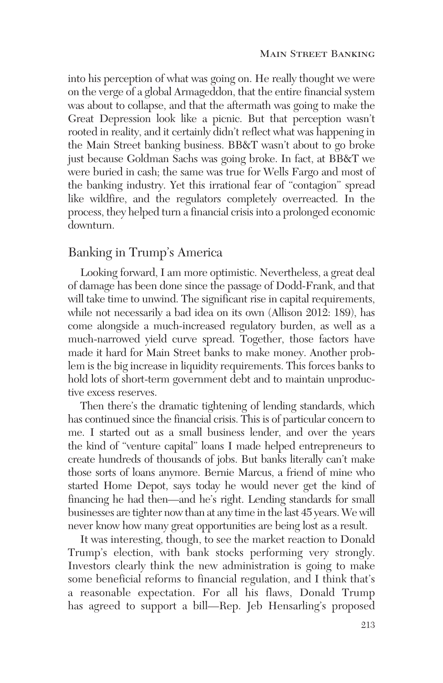into his perception of what was going on. He really thought we were on the verge of a global Armageddon, that the entire financial system was about to collapse, and that the aftermath was going to make the Great Depression look like a picnic. But that perception wasn't rooted in reality, and it certainly didn't reflect what was happening in the Main Street banking business. BB&T wasn't about to go broke just because Goldman Sachs was going broke. In fact, at BB&T we were buried in cash; the same was true for Wells Fargo and most of the banking industry. Yet this irrational fear of "contagion" spread like wildfire, and the regulators completely overreacted. In the process, they helped turn a financial crisis into a prolonged economic downturn.

## Banking in Trump's America

Looking forward, I am more optimistic. Nevertheless, a great deal of damage has been done since the passage of Dodd-Frank, and that will take time to unwind. The significant rise in capital requirements, while not necessarily a bad idea on its own (Allison 2012: 189), has come alongside a much-increased regulatory burden, as well as a much-narrowed yield curve spread. Together, those factors have made it hard for Main Street banks to make money. Another problem is the big increase in liquidity requirements. This forces banks to hold lots of short-term government debt and to maintain unproductive excess reserves.

Then there's the dramatic tightening of lending standards, which has continued since the financial crisis. This is of particular concern to me. I started out as a small business lender, and over the years the kind of "venture capital" loans I made helped entrepreneurs to create hundreds of thousands of jobs. But banks literally can't make those sorts of loans anymore. Bernie Marcus, a friend of mine who started Home Depot, says today he would never get the kind of financing he had then—and he's right. Lending standards for small businesses are tighter now than at any time in the last 45 years. We will never know how many great opportunities are being lost as a result.

It was interesting, though, to see the market reaction to Donald Trump's election, with bank stocks performing very strongly. Investors clearly think the new administration is going to make some beneficial reforms to financial regulation, and I think that's a reasonable expectation. For all his flaws, Donald Trump has agreed to support a bill—Rep. Jeb Hensarling's proposed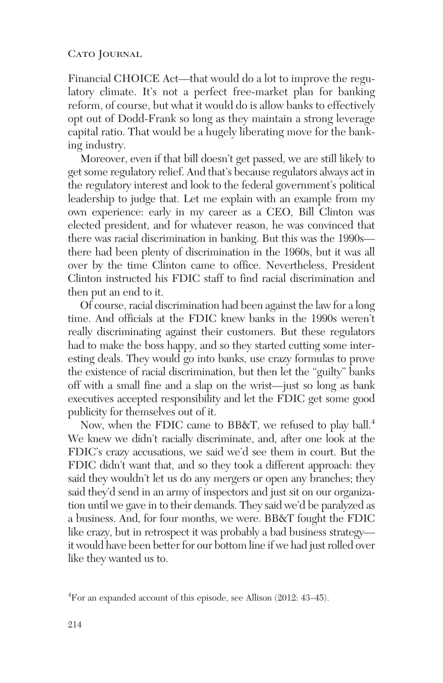Financial CHOICE Act—that would do a lot to improve the regulatory climate. It's not a perfect free-market plan for banking reform, of course, but what it would do is allow banks to effectively opt out of Dodd-Frank so long as they maintain a strong leverage capital ratio. That would be a hugely liberating move for the banking industry.

Moreover, even if that bill doesn't get passed, we are still likely to get some regulatory relief. And that's because regulators always act in the regulatory interest and look to the federal government's political leadership to judge that. Let me explain with an example from my own experience: early in my career as a CEO, Bill Clinton was elected president, and for whatever reason, he was convinced that there was racial discrimination in banking. But this was the 1990s there had been plenty of discrimination in the 1960s, but it was all over by the time Clinton came to office. Nevertheless, President Clinton instructed his FDIC staff to find racial discrimination and then put an end to it.

Of course, racial discrimination had been against the law for a long time. And officials at the FDIC knew banks in the 1990s weren't really discriminating against their customers. But these regulators had to make the boss happy, and so they started cutting some interesting deals. They would go into banks, use crazy formulas to prove the existence of racial discrimination, but then let the "guilty" banks off with a small fine and a slap on the wrist—just so long as bank executives accepted responsibility and let the FDIC get some good publicity for themselves out of it.

Now, when the FDIC came to BB&T, we refused to play ball.<sup>4</sup> We knew we didn't racially discriminate, and, after one look at the FDIC's crazy accusations, we said we'd see them in court. But the FDIC didn't want that, and so they took a different approach: they said they wouldn't let us do any mergers or open any branches; they said they'd send in an army of inspectors and just sit on our organization until we gave in to their demands. They said we'd be paralyzed as a business. And, for four months, we were. BB&T fought the FDIC like crazy, but in retrospect it was probably a bad business strategy it would have been better for our bottom line if we had just rolled over like they wanted us to.

<sup>4</sup> For an expanded account of this episode, see Allison (2012: 43–45).